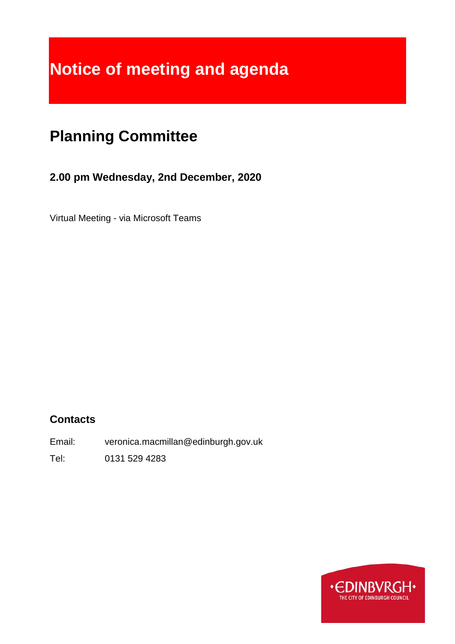# **Notice of meeting and agenda**

## **Planning Committee**

## **2.00 pm Wednesday, 2nd December, 2020**

Virtual Meeting - via Microsoft Teams

## **Contacts**

Email: veronica.macmillan@edinburgh.gov.uk

Tel: 0131 529 4283

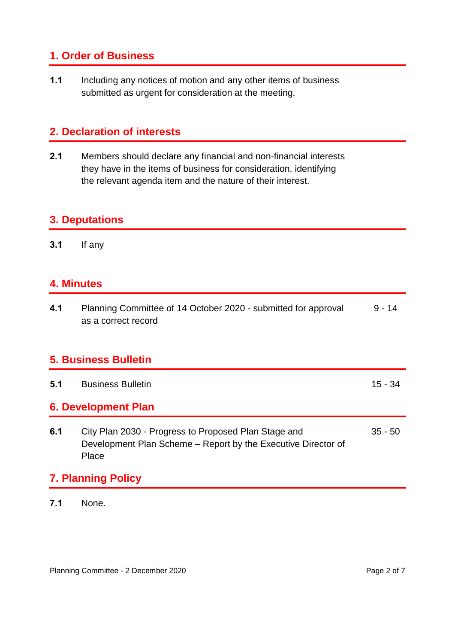## **1. Order of Business**

**1.1** Including any notices of motion and any other items of business submitted as urgent for consideration at the meeting.

## **2. Declaration of interests**

**2.1** Members should declare any financial and non-financial interests they have in the items of business for consideration, identifying the relevant agenda item and the nature of their interest.

## **3. Deputations**

**3.1** If any

## **4. Minutes**

| 4.1                         | Planning Committee of 14 October 2020 - submitted for approval<br>as a correct record                                          | $9 - 14$  |
|-----------------------------|--------------------------------------------------------------------------------------------------------------------------------|-----------|
| <b>5. Business Bulletin</b> |                                                                                                                                |           |
| 5.1                         | <b>Business Bulletin</b>                                                                                                       | $15 - 34$ |
| <b>6. Development Plan</b>  |                                                                                                                                |           |
| 6.1                         | City Plan 2030 - Progress to Proposed Plan Stage and<br>Development Plan Scheme – Report by the Executive Director of<br>Place | $35 - 50$ |
| <b>7. Planning Policy</b>   |                                                                                                                                |           |

**7.1** None.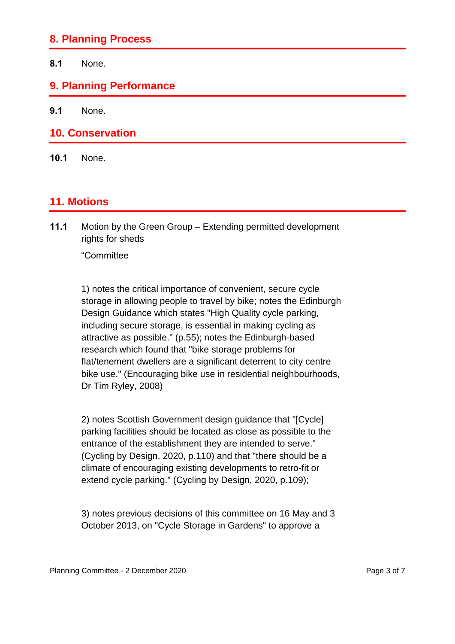#### **8. Planning Process**

**8.1** None.

#### **9. Planning Performance**

**9.1** None.

#### **10. Conservation**

**10.1** None.

#### **11. Motions**

**11.1** Motion by the Green Group – Extending permitted development rights for sheds

"Committee

1) notes the critical importance of convenient, secure cycle storage in allowing people to travel by bike; notes the Edinburgh Design Guidance which states "High Quality cycle parking, including secure storage, is essential in making cycling as attractive as possible." (p.55); notes the Edinburgh-based research which found that "bike storage problems for flat/tenement dwellers are a significant deterrent to city centre bike use." (Encouraging bike use in residential neighbourhoods, Dr Tim Ryley, 2008)

2) notes Scottish Government design guidance that "[Cycle] parking facilities should be located as close as possible to the entrance of the establishment they are intended to serve." (Cycling by Design, 2020, p.110) and that "there should be a climate of encouraging existing developments to retro-fit or extend cycle parking." (Cycling by Design, 2020, p.109);

3) notes previous decisions of this committee on 16 May and 3 October 2013, on "Cycle Storage in Gardens" to approve a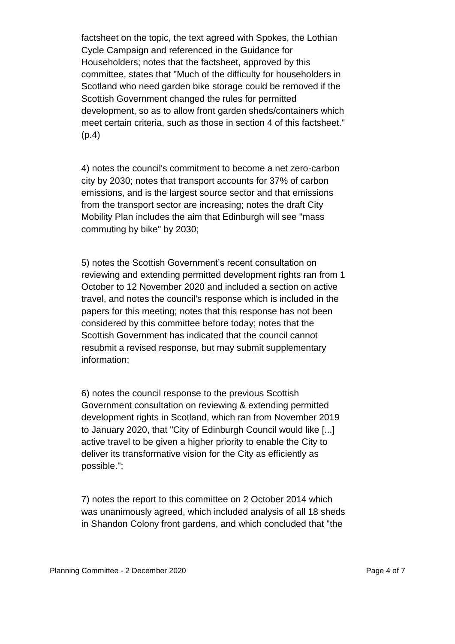factsheet on the topic, the text agreed with Spokes, the Lothian Cycle Campaign and referenced in the Guidance for Householders; notes that the factsheet, approved by this committee, states that "Much of the difficulty for householders in Scotland who need garden bike storage could be removed if the Scottish Government changed the rules for permitted development, so as to allow front garden sheds/containers which meet certain criteria, such as those in section 4 of this factsheet." (p.4)

4) notes the council's commitment to become a net zero-carbon city by 2030; notes that transport accounts for 37% of carbon emissions, and is the largest source sector and that emissions from the transport sector are increasing; notes the draft City Mobility Plan includes the aim that Edinburgh will see "mass commuting by bike" by 2030;

5) notes the Scottish Government's recent consultation on reviewing and extending permitted development rights ran from 1 October to 12 November 2020 and included a section on active travel, and notes the council's response which is included in the papers for this meeting; notes that this response has not been considered by this committee before today; notes that the Scottish Government has indicated that the council cannot resubmit a revised response, but may submit supplementary information;

6) notes the council response to the previous Scottish Government consultation on reviewing & extending permitted development rights in Scotland, which ran from November 2019 to January 2020, that "City of Edinburgh Council would like [...] active travel to be given a higher priority to enable the City to deliver its transformative vision for the City as efficiently as possible.";

7) notes the report to this committee on 2 October 2014 which was unanimously agreed, which included analysis of all 18 sheds in Shandon Colony front gardens, and which concluded that "the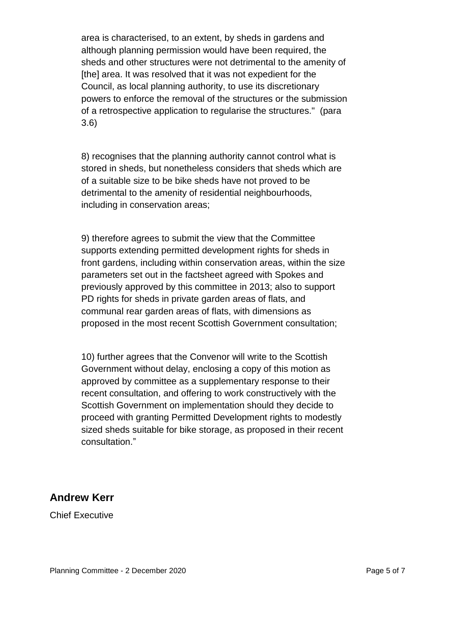area is characterised, to an extent, by sheds in gardens and although planning permission would have been required, the sheds and other structures were not detrimental to the amenity of [the] area. It was resolved that it was not expedient for the Council, as local planning authority, to use its discretionary powers to enforce the removal of the structures or the submission of a retrospective application to regularise the structures." (para 3.6)

8) recognises that the planning authority cannot control what is stored in sheds, but nonetheless considers that sheds which are of a suitable size to be bike sheds have not proved to be detrimental to the amenity of residential neighbourhoods, including in conservation areas;

9) therefore agrees to submit the view that the Committee supports extending permitted development rights for sheds in front gardens, including within conservation areas, within the size parameters set out in the factsheet agreed with Spokes and previously approved by this committee in 2013; also to support PD rights for sheds in private garden areas of flats, and communal rear garden areas of flats, with dimensions as proposed in the most recent Scottish Government consultation;

10) further agrees that the Convenor will write to the Scottish Government without delay, enclosing a copy of this motion as approved by committee as a supplementary response to their recent consultation, and offering to work constructively with the Scottish Government on implementation should they decide to proceed with granting Permitted Development rights to modestly sized sheds suitable for bike storage, as proposed in their recent consultation."

#### **Andrew Kerr**

Chief Executive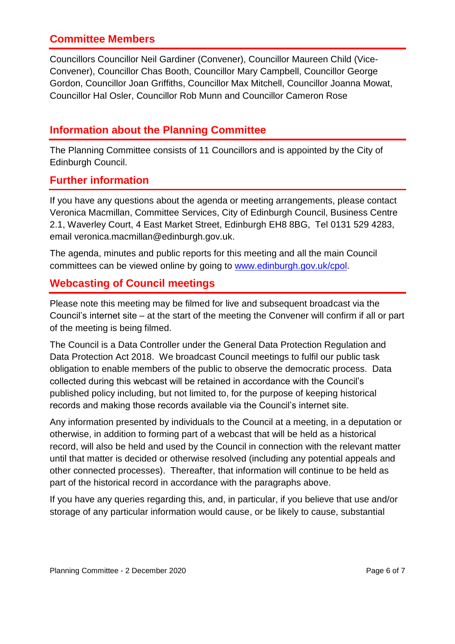## **Committee Members**

Councillors Councillor Neil Gardiner (Convener), Councillor Maureen Child (Vice-Convener), Councillor Chas Booth, Councillor Mary Campbell, Councillor George Gordon, Councillor Joan Griffiths, Councillor Max Mitchell, Councillor Joanna Mowat, Councillor Hal Osler, Councillor Rob Munn and Councillor Cameron Rose

## **Information about the Planning Committee**

The Planning Committee consists of 11 Councillors and is appointed by the City of Edinburgh Council.

## **Further information**

If you have any questions about the agenda or meeting arrangements, please contact Veronica Macmillan, Committee Services, City of Edinburgh Council, Business Centre 2.1, Waverley Court, 4 East Market Street, Edinburgh EH8 8BG, Tel 0131 529 4283, email veronica.macmillan@edinburgh.gov.uk.

The agenda, minutes and public reports for this meeting and all the main Council committees can be viewed online by going to [www.edinburgh.gov.uk/cpol.](http://www.edinburgh.gov.uk/cpol)

## **Webcasting of Council meetings**

Please note this meeting may be filmed for live and subsequent broadcast via the Council's internet site – at the start of the meeting the Convener will confirm if all or part of the meeting is being filmed.

The Council is a Data Controller under the General Data Protection Regulation and Data Protection Act 2018. We broadcast Council meetings to fulfil our public task obligation to enable members of the public to observe the democratic process. Data collected during this webcast will be retained in accordance with the Council's published policy including, but not limited to, for the purpose of keeping historical records and making those records available via the Council's internet site.

Any information presented by individuals to the Council at a meeting, in a deputation or otherwise, in addition to forming part of a webcast that will be held as a historical record, will also be held and used by the Council in connection with the relevant matter until that matter is decided or otherwise resolved (including any potential appeals and other connected processes). Thereafter, that information will continue to be held as part of the historical record in accordance with the paragraphs above.

If you have any queries regarding this, and, in particular, if you believe that use and/or storage of any particular information would cause, or be likely to cause, substantial